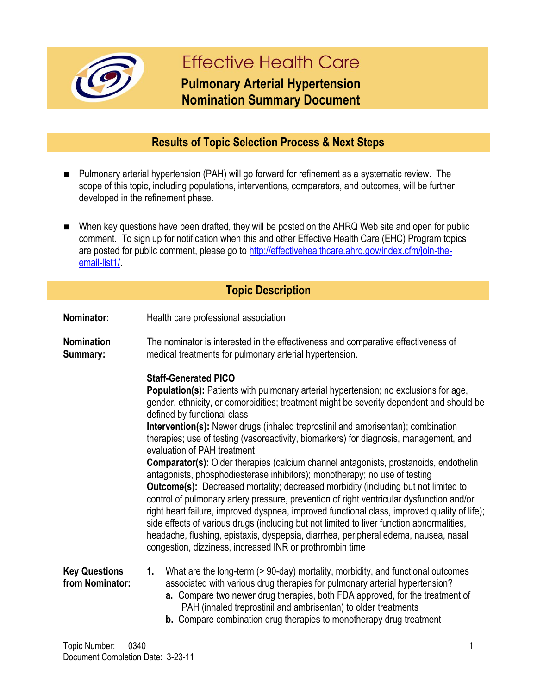

# **Effective Health Care**

## **Pulmonary Arterial Hypertension Nomination Summary Document**

### **Results of Topic Selection Process & Next Steps**

- Pulmonary arterial hypertension (PAH) will go forward for refinement as a systematic review. The scope of this topic, including populations, interventions, comparators, and outcomes, will be further developed in the refinement phase.
- When key questions have been drafted, they will be posted on the AHRQ Web site and open for public comment. To sign up for notification when this and other Effective Health Care (EHC) Program topics are posted for public comment, please go to http://effectivehealthcare.ahrg.gov/index.cfm/join-the[email-list1/.](http://effectivehealthcare.ahrq.gov/index.cfm/join-the-email-list1/)

#### **Topic Description**

- **Nominator:** Health care professional association
- **Nomination Summary:** The nominator is interested in the effectiveness and comparative effectiveness of medical treatments for pulmonary arterial hypertension.

#### **Staff-Generated PICO**

**Population(s):** Patients with pulmonary arterial hypertension; no exclusions for age, gender, ethnicity, or comorbidities; treatment might be severity dependent and should be defined by functional class **Intervention(s):** Newer drugs (inhaled treprostinil and ambrisentan); combination

therapies; use of testing (vasoreactivity, biomarkers) for diagnosis, management, and evaluation of PAH treatment

**Comparator(s):** Older therapies (calcium channel antagonists, prostanoids, endothelin antagonists, phosphodiesterase inhibitors); monotherapy; no use of testing **Outcome(s):** Decreased mortality; decreased morbidity (including but not limited to control of pulmonary artery pressure, prevention of right ventricular dysfunction and/or right heart failure, improved dyspnea, improved functional class, improved quality of life); side effects of various drugs (including but not limited to liver function abnormalities, headache, flushing, epistaxis, dyspepsia, diarrhea, peripheral edema, nausea, nasal congestion, dizziness, increased INR or prothrombin time

**Key Questions from Nominator: 1.** What are the long-term (> 90-day) mortality, morbidity, and functional outcomes associated with various drug therapies for pulmonary arterial hypertension? **a.** Compare two newer drug therapies, both FDA approved, for the treatment of

- PAH (inhaled treprostinil and ambrisentan) to older treatments
- **b.** Compare combination drug therapies to monotherapy drug treatment